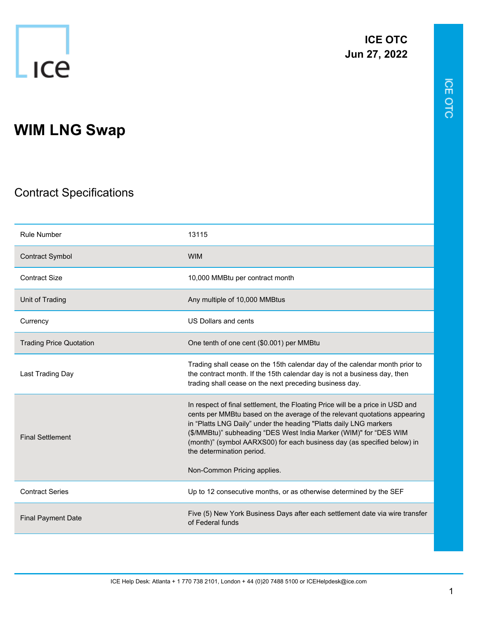

**ICE OTC Jun 27, 2022**

## **WIM LNG Swap**

## Contract Specifications

| <b>Rule Number</b>             | 13115                                                                                                                                                                                                                                                                                                                                                                                                                                       |
|--------------------------------|---------------------------------------------------------------------------------------------------------------------------------------------------------------------------------------------------------------------------------------------------------------------------------------------------------------------------------------------------------------------------------------------------------------------------------------------|
| <b>Contract Symbol</b>         | <b>WIM</b>                                                                                                                                                                                                                                                                                                                                                                                                                                  |
| <b>Contract Size</b>           | 10,000 MMBtu per contract month                                                                                                                                                                                                                                                                                                                                                                                                             |
| Unit of Trading                | Any multiple of 10,000 MMBtus                                                                                                                                                                                                                                                                                                                                                                                                               |
| Currency                       | US Dollars and cents                                                                                                                                                                                                                                                                                                                                                                                                                        |
| <b>Trading Price Quotation</b> | One tenth of one cent (\$0.001) per MMBtu                                                                                                                                                                                                                                                                                                                                                                                                   |
| Last Trading Day               | Trading shall cease on the 15th calendar day of the calendar month prior to<br>the contract month. If the 15th calendar day is not a business day, then<br>trading shall cease on the next preceding business day.                                                                                                                                                                                                                          |
| <b>Final Settlement</b>        | In respect of final settlement, the Floating Price will be a price in USD and<br>cents per MMBtu based on the average of the relevant quotations appearing<br>in "Platts LNG Daily" under the heading "Platts daily LNG markers<br>(\$/MMBtu)" subheading "DES West India Marker (WIM)" for "DES WIM<br>(month)" (symbol AARXS00) for each business day (as specified below) in<br>the determination period.<br>Non-Common Pricing applies. |
| <b>Contract Series</b>         | Up to 12 consecutive months, or as otherwise determined by the SEF                                                                                                                                                                                                                                                                                                                                                                          |
| <b>Final Payment Date</b>      | Five (5) New York Business Days after each settlement date via wire transfer<br>of Federal funds                                                                                                                                                                                                                                                                                                                                            |